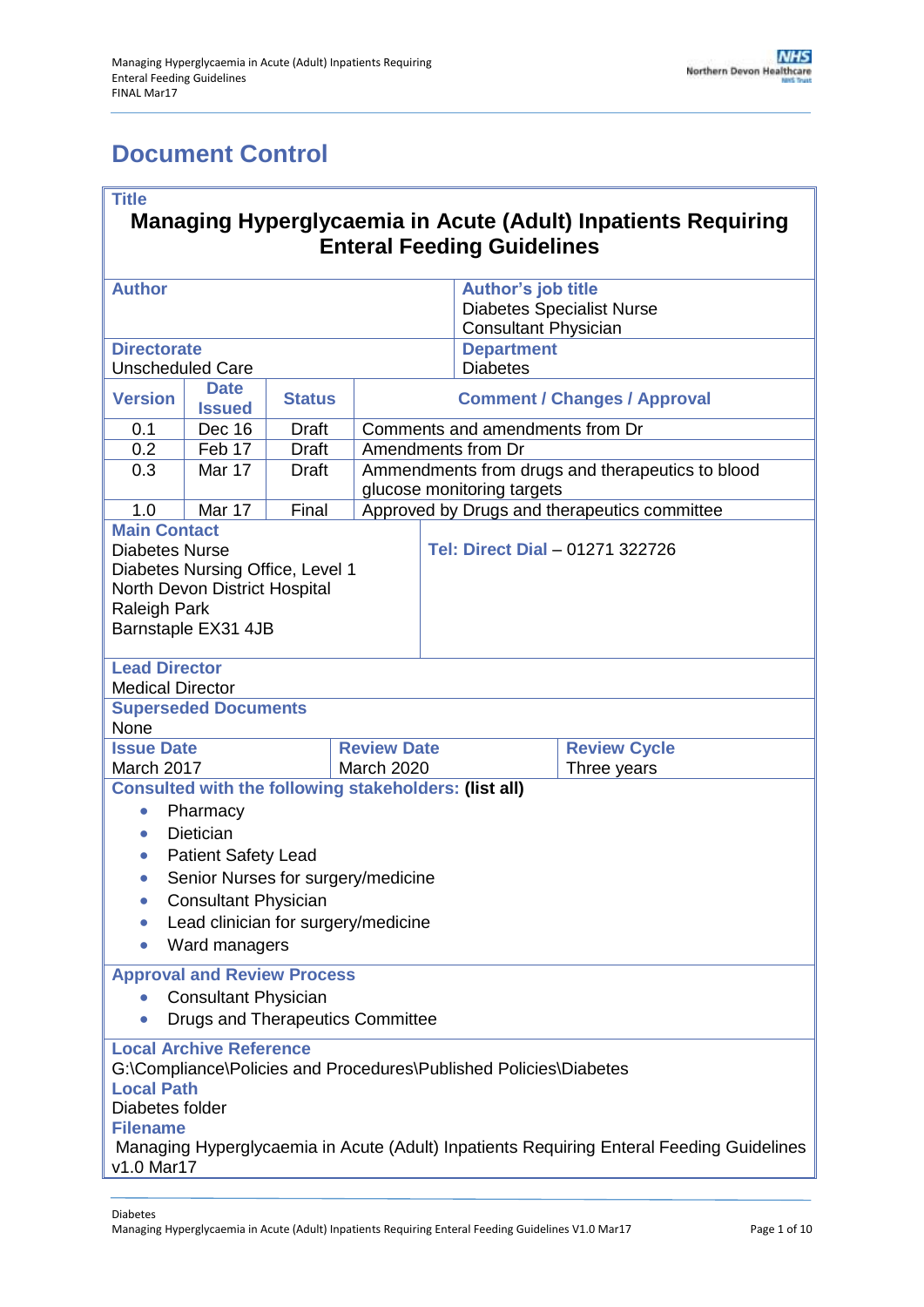# <span id="page-0-0"></span>**Document Control**

#### **Title**

### **Managing Hyperglycaemia in Acute (Adult) Inpatients Requiring Enteral Feeding Guidelines**

| <b>Author</b>                                                   |                                                                                        |              |                                                                                |                                                              | <b>Author's job title</b><br><b>Diabetes Specialist Nurse</b><br><b>Consultant Physician</b> |                     |  |
|-----------------------------------------------------------------|----------------------------------------------------------------------------------------|--------------|--------------------------------------------------------------------------------|--------------------------------------------------------------|----------------------------------------------------------------------------------------------|---------------------|--|
| <b>Directorate</b>                                              |                                                                                        |              |                                                                                |                                                              | <b>Department</b>                                                                            |                     |  |
| <b>Unscheduled Care</b>                                         |                                                                                        |              |                                                                                |                                                              | <b>Diabetes</b>                                                                              |                     |  |
| <b>Date</b><br><b>Version</b><br><b>Status</b><br><b>Issued</b> |                                                                                        |              |                                                                                | <b>Comment / Changes / Approval</b>                          |                                                                                              |                     |  |
| <b>Dec 16</b><br>0.1<br><b>Draft</b>                            |                                                                                        |              |                                                                                | Comments and amendments from Dr                              |                                                                                              |                     |  |
| 0.2                                                             | Feb 17                                                                                 | <b>Draft</b> | Amendments from Dr                                                             |                                                              |                                                                                              |                     |  |
| 0.3                                                             | Mar 17                                                                                 | <b>Draft</b> | Ammendments from drugs and therapeutics to blood<br>glucose monitoring targets |                                                              |                                                                                              |                     |  |
| 1.0                                                             | Mar 17                                                                                 | Final        |                                                                                | Approved by Drugs and therapeutics committee                 |                                                                                              |                     |  |
| <b>Main Contact</b>                                             |                                                                                        |              |                                                                                |                                                              |                                                                                              |                     |  |
| <b>Diabetes Nurse</b>                                           |                                                                                        |              |                                                                                |                                                              | Tel: Direct Dial - 01271 322726                                                              |                     |  |
|                                                                 | Diabetes Nursing Office, Level 1                                                       |              |                                                                                |                                                              |                                                                                              |                     |  |
|                                                                 | North Devon District Hospital                                                          |              |                                                                                |                                                              |                                                                                              |                     |  |
| Raleigh Park                                                    |                                                                                        |              |                                                                                |                                                              |                                                                                              |                     |  |
| Barnstaple EX31 4JB                                             |                                                                                        |              |                                                                                |                                                              |                                                                                              |                     |  |
|                                                                 |                                                                                        |              |                                                                                |                                                              |                                                                                              |                     |  |
| <b>Lead Director</b>                                            |                                                                                        |              |                                                                                |                                                              |                                                                                              |                     |  |
| <b>Medical Director</b>                                         | <b>Superseded Documents</b>                                                            |              |                                                                                |                                                              |                                                                                              |                     |  |
| None                                                            |                                                                                        |              |                                                                                |                                                              |                                                                                              |                     |  |
| <b>Issue Date</b>                                               |                                                                                        |              | <b>Review Date</b>                                                             |                                                              |                                                                                              | <b>Review Cycle</b> |  |
| March 2017                                                      |                                                                                        |              | <b>March 2020</b>                                                              |                                                              |                                                                                              | Three years         |  |
|                                                                 |                                                                                        |              |                                                                                | <b>Consulted with the following stakeholders: (list all)</b> |                                                                                              |                     |  |
| $\bullet$                                                       | Pharmacy                                                                               |              |                                                                                |                                                              |                                                                                              |                     |  |
|                                                                 | <b>Dietician</b>                                                                       |              |                                                                                |                                                              |                                                                                              |                     |  |
| $\bullet$                                                       | <b>Patient Safety Lead</b>                                                             |              |                                                                                |                                                              |                                                                                              |                     |  |
|                                                                 | Senior Nurses for surgery/medicine                                                     |              |                                                                                |                                                              |                                                                                              |                     |  |
| $\bullet$                                                       |                                                                                        |              |                                                                                |                                                              |                                                                                              |                     |  |
| $\bullet$                                                       | <b>Consultant Physician</b>                                                            |              |                                                                                |                                                              |                                                                                              |                     |  |
| $\bullet$                                                       | Lead clinician for surgery/medicine                                                    |              |                                                                                |                                                              |                                                                                              |                     |  |
|                                                                 | Ward managers                                                                          |              |                                                                                |                                                              |                                                                                              |                     |  |
|                                                                 | <b>Approval and Review Process</b>                                                     |              |                                                                                |                                                              |                                                                                              |                     |  |
|                                                                 | <b>Consultant Physician</b>                                                            |              |                                                                                |                                                              |                                                                                              |                     |  |
|                                                                 | <b>Drugs and Therapeutics Committee</b>                                                |              |                                                                                |                                                              |                                                                                              |                     |  |
|                                                                 | <b>Local Archive Reference</b>                                                         |              |                                                                                |                                                              |                                                                                              |                     |  |
|                                                                 |                                                                                        |              |                                                                                |                                                              |                                                                                              |                     |  |
|                                                                 | G:\Compliance\Policies and Procedures\Published Policies\Diabetes<br><b>Local Path</b> |              |                                                                                |                                                              |                                                                                              |                     |  |
| Diabetes folder                                                 |                                                                                        |              |                                                                                |                                                              |                                                                                              |                     |  |
| <b>Filename</b>                                                 |                                                                                        |              |                                                                                |                                                              |                                                                                              |                     |  |
|                                                                 |                                                                                        |              |                                                                                |                                                              | Managing Hyperglycaemia in Acute (Adult) Inpatients Requiring Enteral Feeding Guidelines     |                     |  |
| v1.0 Mar17                                                      |                                                                                        |              |                                                                                |                                                              |                                                                                              |                     |  |
|                                                                 |                                                                                        |              |                                                                                |                                                              |                                                                                              |                     |  |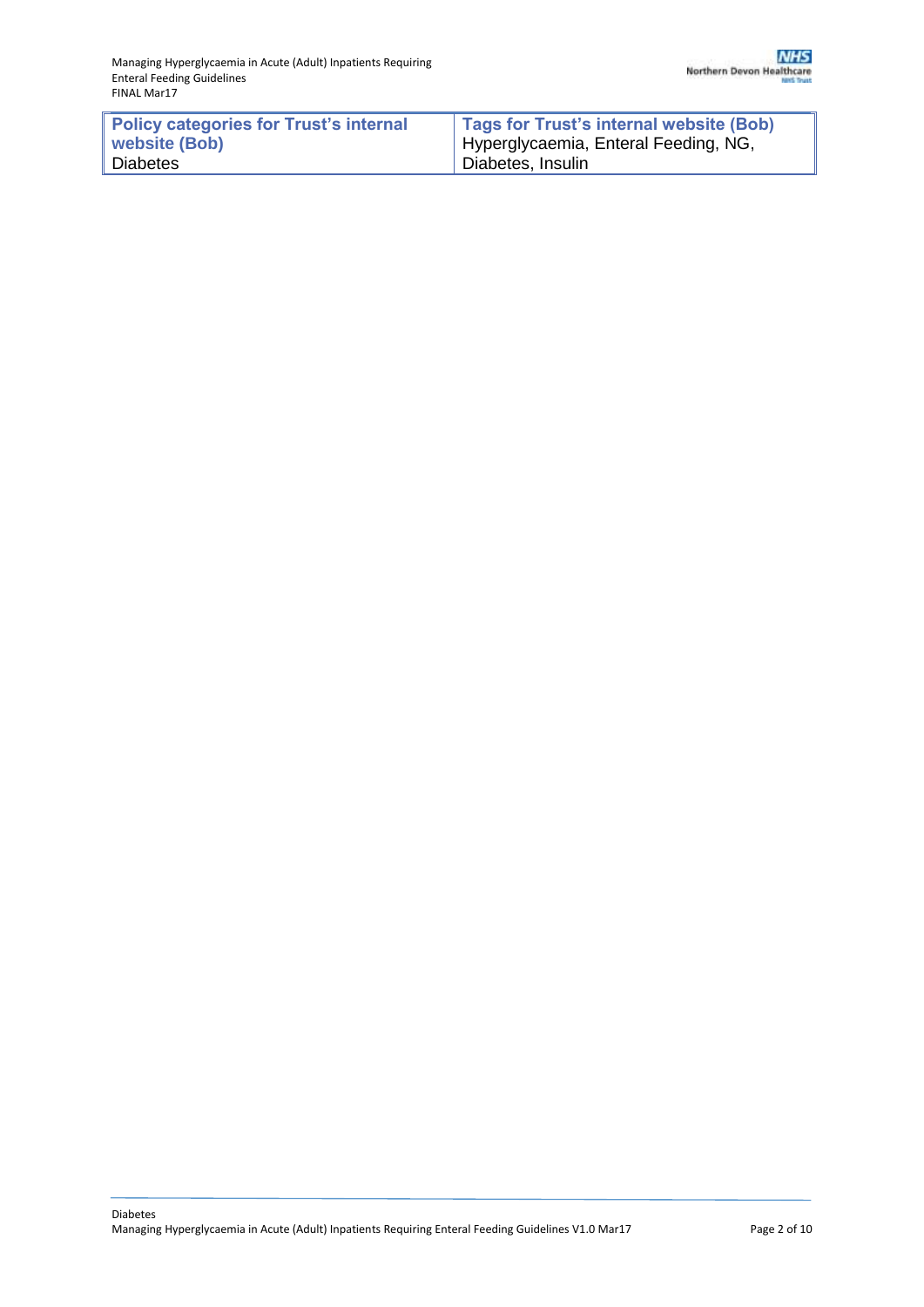| Policy categories for Trust's internal | Tags for Trust's internal website (Bob) |
|----------------------------------------|-----------------------------------------|
| website (Bob)                          | Hyperglycaemia, Enteral Feeding, NG,    |
| <b>Diabetes</b>                        | Diabetes, Insulin                       |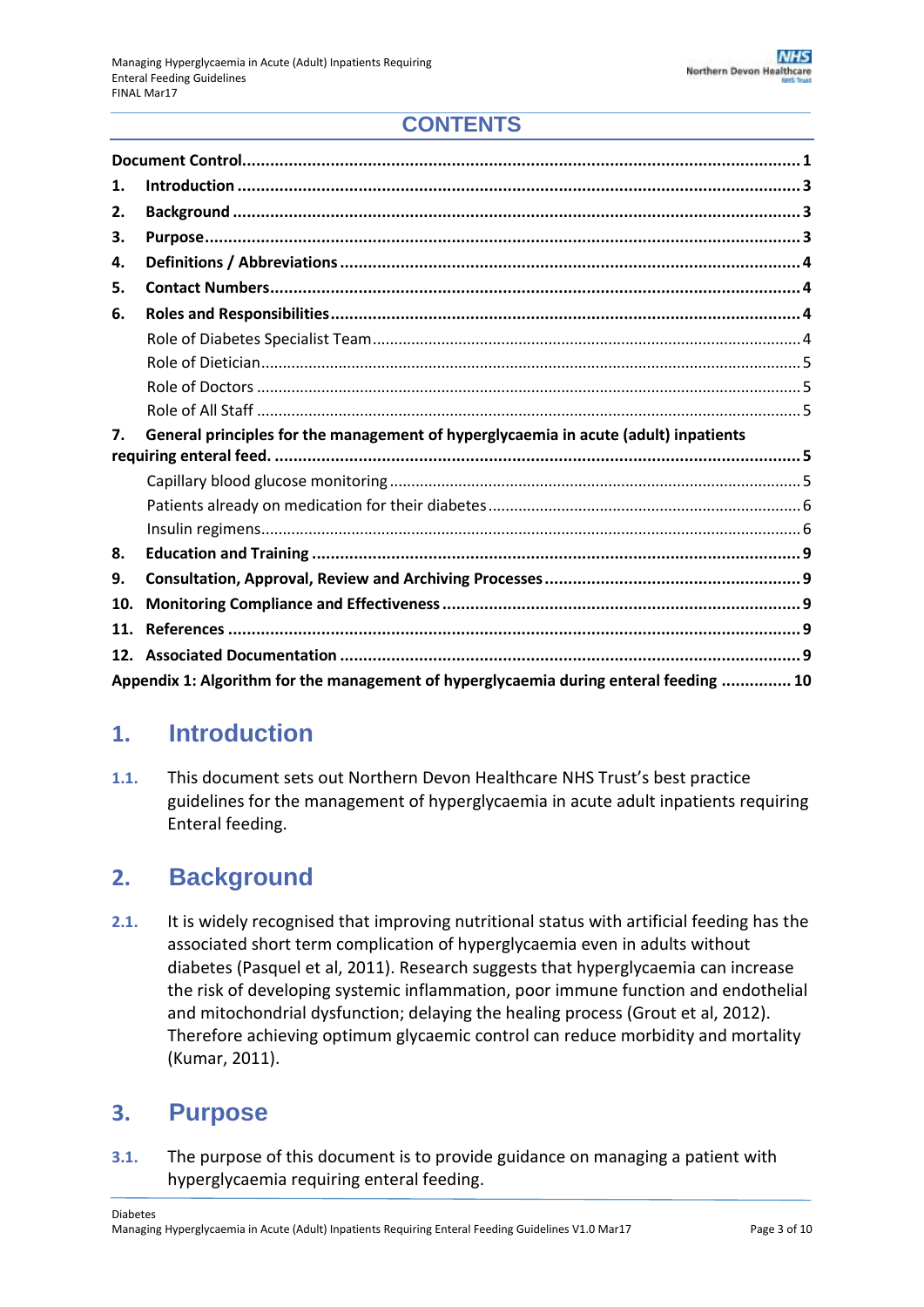## **CONTENTS**

| 1.  |                                                                                     |
|-----|-------------------------------------------------------------------------------------|
| 2.  |                                                                                     |
| З.  |                                                                                     |
| 4.  |                                                                                     |
| 5.  |                                                                                     |
| 6.  |                                                                                     |
|     |                                                                                     |
|     |                                                                                     |
|     |                                                                                     |
|     |                                                                                     |
|     |                                                                                     |
| 7.  | General principles for the management of hyperglycaemia in acute (adult) inpatients |
|     |                                                                                     |
|     |                                                                                     |
|     |                                                                                     |
|     |                                                                                     |
| 8.  |                                                                                     |
| 9.  |                                                                                     |
| 10. |                                                                                     |
| 11. |                                                                                     |
| 12. |                                                                                     |

## <span id="page-2-0"></span>**1. Introduction**

**1.1.** This document sets out Northern Devon Healthcare NHS Trust's best practice guidelines for the management of hyperglycaemia in acute adult inpatients requiring Enteral feeding.

## <span id="page-2-1"></span>**2. Background**

**2.1.** It is widely recognised that improving nutritional status with artificial feeding has the associated short term complication of hyperglycaemia even in adults without diabetes (Pasquel et al, 2011). Research suggests that hyperglycaemia can increase the risk of developing systemic inflammation, poor immune function and endothelial and mitochondrial dysfunction; delaying the healing process (Grout et al, 2012). Therefore achieving optimum glycaemic control can reduce morbidity and mortality (Kumar, 2011).

## <span id="page-2-2"></span>**3. Purpose**

**3.1.** The purpose of this document is to provide guidance on managing a patient with hyperglycaemia requiring enteral feeding.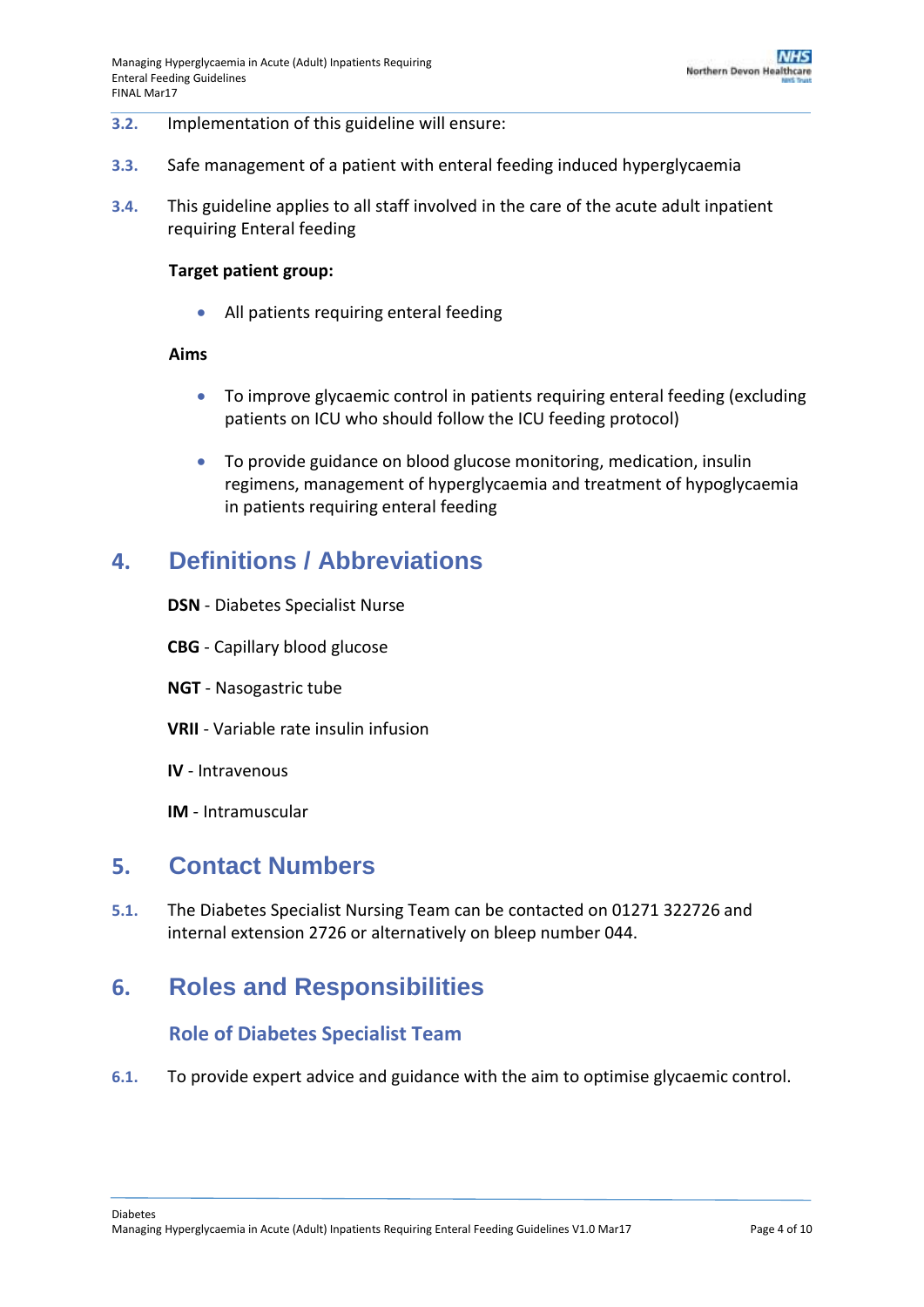#### **3.2.** Implementation of this guideline will ensure:

- **3.3.** Safe management of a patient with enteral feeding induced hyperglycaemia
- **3.4.** This guideline applies to all staff involved in the care of the acute adult inpatient requiring Enteral feeding

#### **Target patient group:**

• All patients requiring enteral feeding

#### **Aims**

- To improve glycaemic control in patients requiring enteral feeding (excluding patients on ICU who should follow the ICU feeding protocol)
- To provide guidance on blood glucose monitoring, medication, insulin regimens, management of hyperglycaemia and treatment of hypoglycaemia in patients requiring enteral feeding

## <span id="page-3-0"></span>**4. Definitions / Abbreviations**

- **DSN** Diabetes Specialist Nurse
- **CBG** Capillary blood glucose
- **NGT** Nasogastric tube
- **VRII** Variable rate insulin infusion
- **IV** Intravenous
- **IM** Intramuscular

## <span id="page-3-1"></span>**5. Contact Numbers**

**5.1.** The Diabetes Specialist Nursing Team can be contacted on 01271 322726 and internal extension 2726 or alternatively on bleep number 044.

## <span id="page-3-3"></span><span id="page-3-2"></span>**6. Roles and Responsibilities**

### **Role of Diabetes Specialist Team**

**6.1.** To provide expert advice and guidance with the aim to optimise glycaemic control.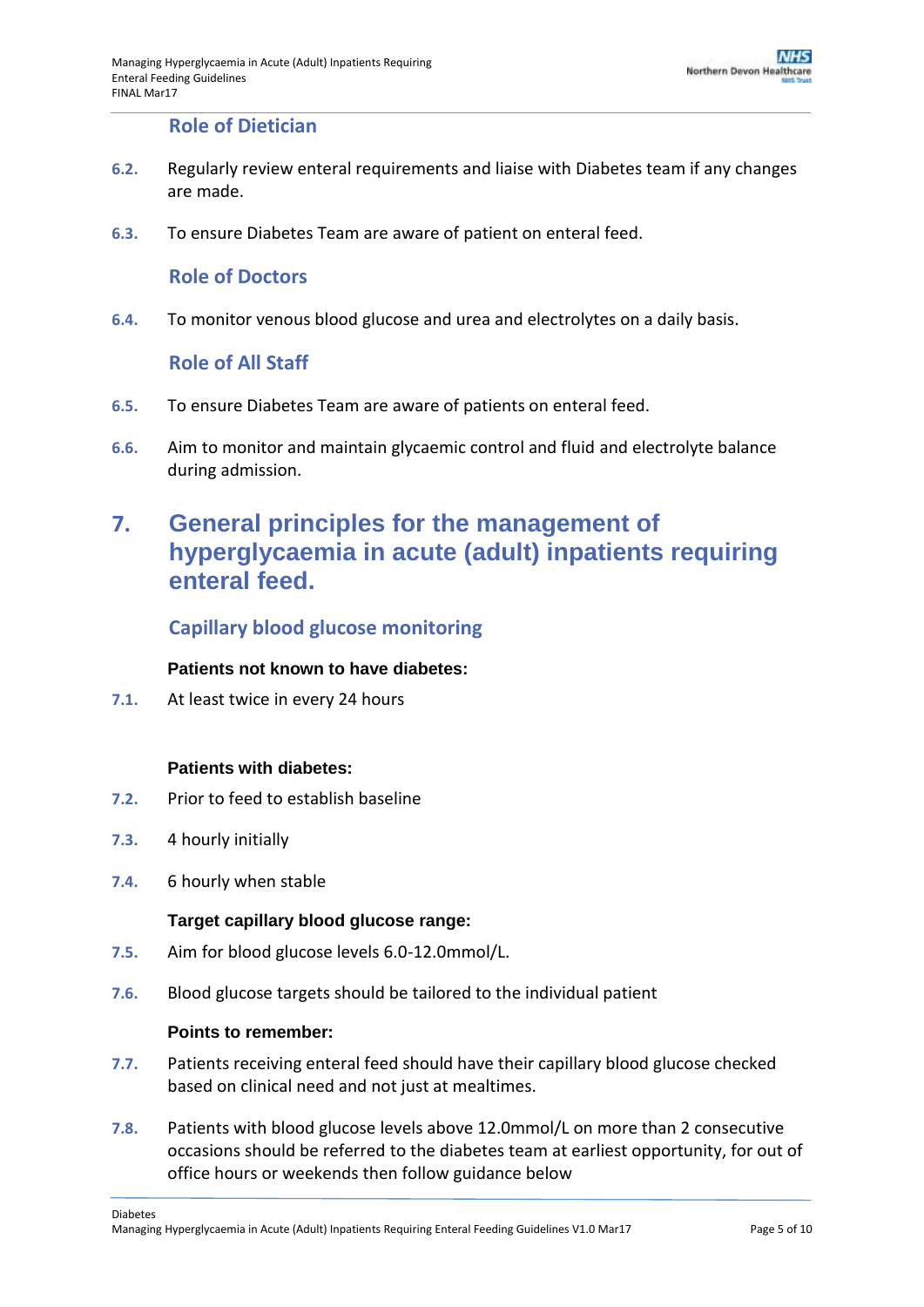### **Role of Dietician**

- <span id="page-4-0"></span>**6.2.** Regularly review enteral requirements and liaise with Diabetes team if any changes are made.
- <span id="page-4-1"></span>**6.3.** To ensure Diabetes Team are aware of patient on enteral feed.

#### **Role of Doctors**

<span id="page-4-2"></span>**6.4.** To monitor venous blood glucose and urea and electrolytes on a daily basis.

#### **Role of All Staff**

- **6.5.** To ensure Diabetes Team are aware of patients on enteral feed.
- **6.6.** Aim to monitor and maintain glycaemic control and fluid and electrolyte balance during admission.

## <span id="page-4-3"></span>**7. General principles for the management of hyperglycaemia in acute (adult) inpatients requiring enteral feed.**

### <span id="page-4-4"></span>**Capillary blood glucose monitoring**

#### **Patients not known to have diabetes:**

**7.1.** At least twice in every 24 hours

#### **Patients with diabetes:**

- **7.2.** Prior to feed to establish baseline
- **7.3.** 4 hourly initially
- **7.4.** 6 hourly when stable

#### **Target capillary blood glucose range:**

- **7.5.** Aim for blood glucose levels 6.0-12.0mmol/L.
- **7.6.** Blood glucose targets should be tailored to the individual patient

#### **Points to remember:**

- **7.7.** Patients receiving enteral feed should have their capillary blood glucose checked based on clinical need and not just at mealtimes.
- **7.8.** Patients with blood glucose levels above 12.0mmol/L on more than 2 consecutive occasions should be referred to the diabetes team at earliest opportunity, for out of office hours or weekends then follow guidance below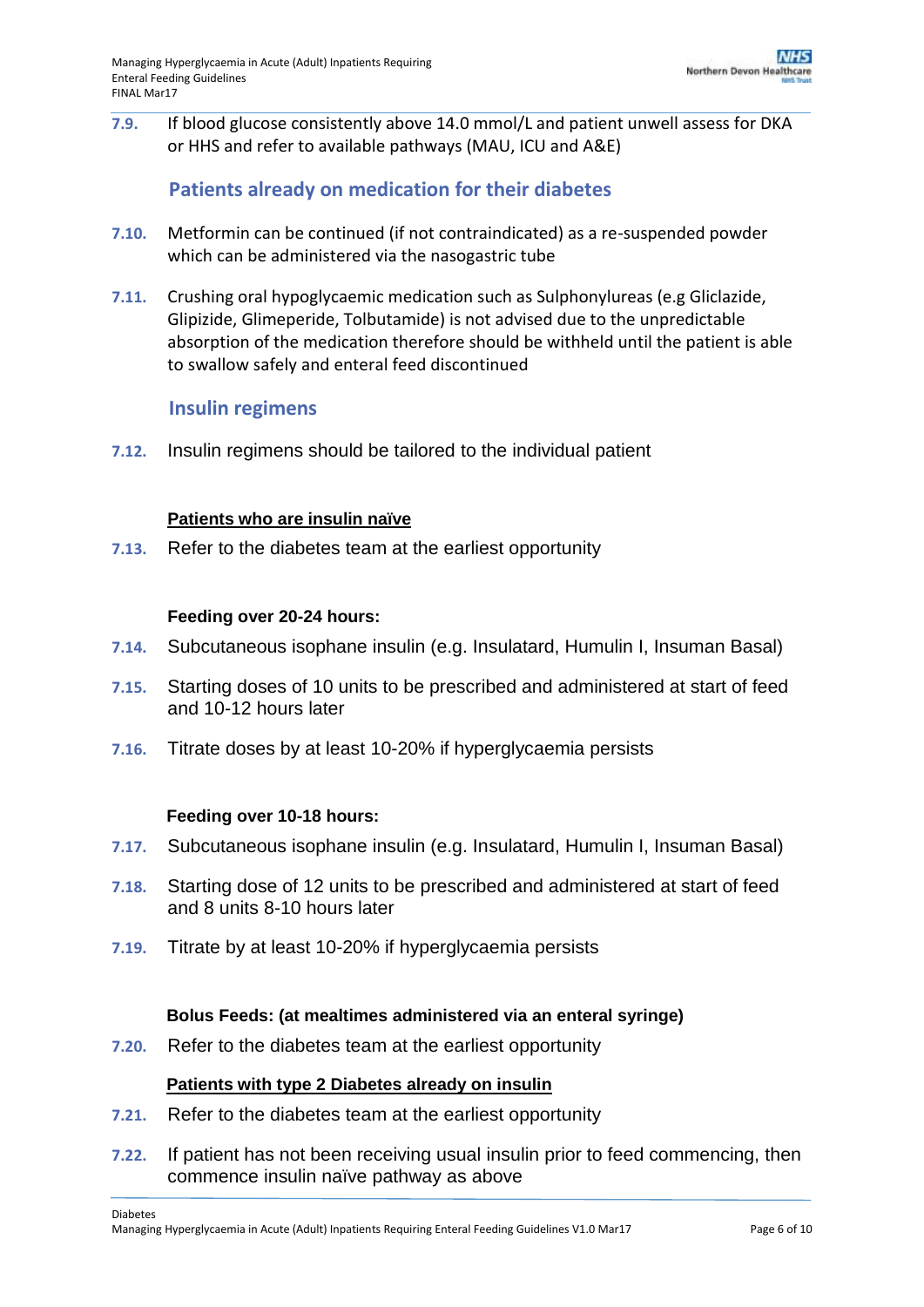**7.9.** If blood glucose consistently above 14.0 mmol/L and patient unwell assess for DKA or HHS and refer to available pathways (MAU, ICU and A&E)

### **Patients already on medication for their diabetes**

- <span id="page-5-0"></span>**7.10.** Metformin can be continued (if not contraindicated) as a re-suspended powder which can be administered via the nasogastric tube
- **7.11.** Crushing oral hypoglycaemic medication such as Sulphonylureas (e.g Gliclazide, Glipizide, Glimeperide, Tolbutamide) is not advised due to the unpredictable absorption of the medication therefore should be withheld until the patient is able to swallow safely and enteral feed discontinued

### **Insulin regimens**

<span id="page-5-1"></span>**7.12.** Insulin regimens should be tailored to the individual patient

#### **Patients who are insulin naïve**

**7.13.** Refer to the diabetes team at the earliest opportunity

#### **Feeding over 20-24 hours:**

- **7.14.** Subcutaneous isophane insulin (e.g. Insulatard, Humulin I, Insuman Basal)
- **7.15.** Starting doses of 10 units to be prescribed and administered at start of feed and 10-12 hours later
- **7.16.** Titrate doses by at least 10-20% if hyperglycaemia persists

#### **Feeding over 10-18 hours:**

- **7.17.** Subcutaneous isophane insulin (e.g. Insulatard, Humulin I, Insuman Basal)
- **7.18.** Starting dose of 12 units to be prescribed and administered at start of feed and 8 units 8-10 hours later
- **7.19.** Titrate by at least 10-20% if hyperglycaemia persists

#### **Bolus Feeds: (at mealtimes administered via an enteral syringe)**

**7.20.** Refer to the diabetes team at the earliest opportunity

### **Patients with type 2 Diabetes already on insulin**

- **7.21.** Refer to the diabetes team at the earliest opportunity
- **7.22.** If patient has not been receiving usual insulin prior to feed commencing, then commence insulin naïve pathway as above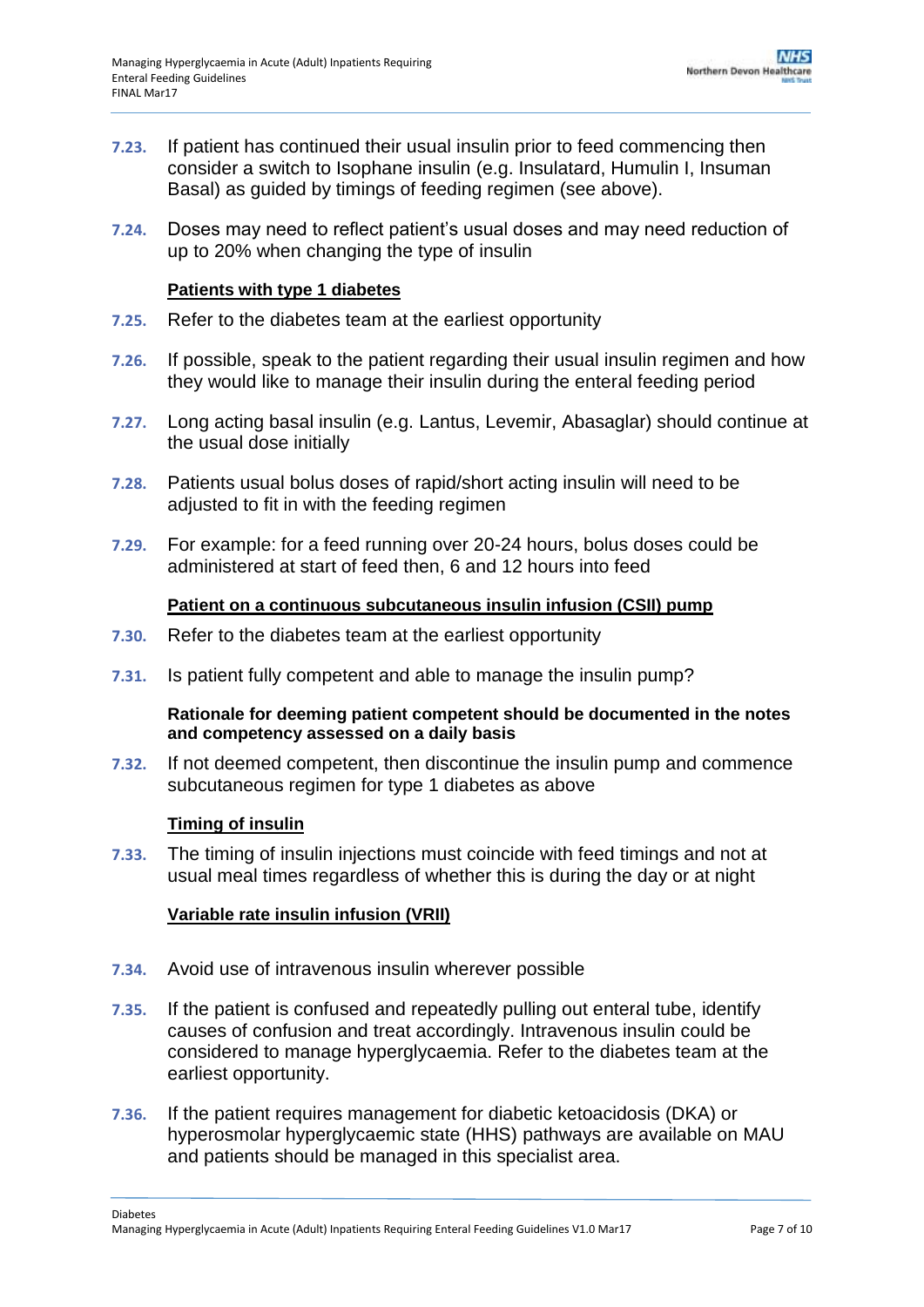- **7.23.** If patient has continued their usual insulin prior to feed commencing then consider a switch to Isophane insulin (e.g. Insulatard, Humulin I, Insuman Basal) as guided by timings of feeding regimen (see above).
- **7.24.** Doses may need to reflect patient's usual doses and may need reduction of up to 20% when changing the type of insulin

#### **Patients with type 1 diabetes**

- **7.25.** Refer to the diabetes team at the earliest opportunity
- **7.26.** If possible, speak to the patient regarding their usual insulin regimen and how they would like to manage their insulin during the enteral feeding period
- **7.27.** Long acting basal insulin (e.g. Lantus, Levemir, Abasaglar) should continue at the usual dose initially
- **7.28.** Patients usual bolus doses of rapid/short acting insulin will need to be adjusted to fit in with the feeding regimen
- **7.29.** For example: for a feed running over 20-24 hours, bolus doses could be administered at start of feed then, 6 and 12 hours into feed

#### **Patient on a continuous subcutaneous insulin infusion (CSII) pump**

- **7.30.** Refer to the diabetes team at the earliest opportunity
- **7.31.** Is patient fully competent and able to manage the insulin pump?

#### **Rationale for deeming patient competent should be documented in the notes and competency assessed on a daily basis**

**7.32.** If not deemed competent, then discontinue the insulin pump and commence subcutaneous regimen for type 1 diabetes as above

#### **Timing of insulin**

**7.33.** The timing of insulin injections must coincide with feed timings and not at usual meal times regardless of whether this is during the day or at night

#### **Variable rate insulin infusion (VRII)**

- **7.34.** Avoid use of intravenous insulin wherever possible
- **7.35.** If the patient is confused and repeatedly pulling out enteral tube, identify causes of confusion and treat accordingly. Intravenous insulin could be considered to manage hyperglycaemia. Refer to the diabetes team at the earliest opportunity.
- **7.36.** If the patient requires management for diabetic ketoacidosis (DKA) or hyperosmolar hyperglycaemic state (HHS) pathways are available on MAU and patients should be managed in this specialist area.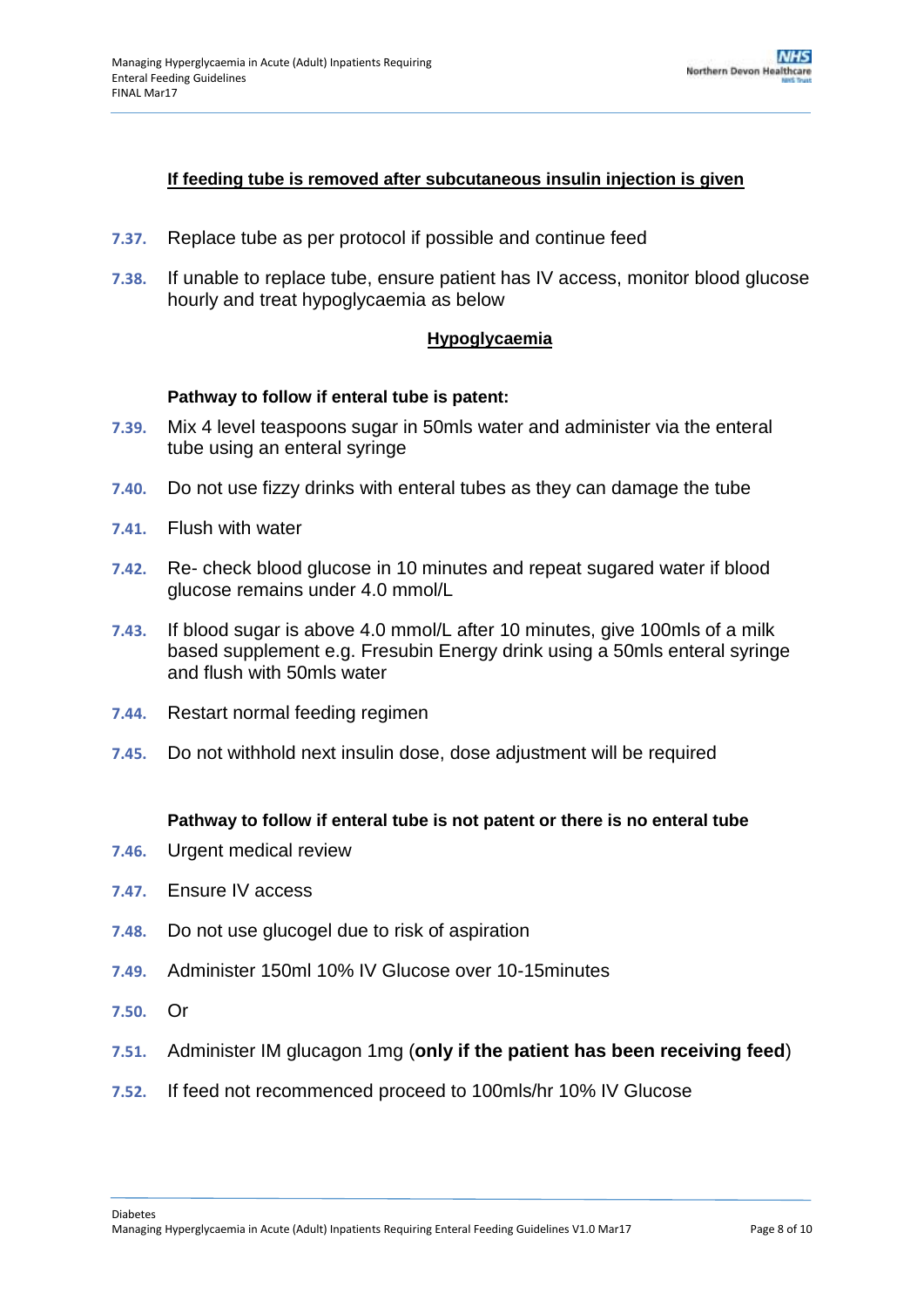#### **If feeding tube is removed after subcutaneous insulin injection is given**

- **7.37.** Replace tube as per protocol if possible and continue feed
- **7.38.** If unable to replace tube, ensure patient has IV access, monitor blood glucose hourly and treat hypoglycaemia as below

#### **Hypoglycaemia**

#### **Pathway to follow if enteral tube is patent:**

- **7.39.** Mix 4 level teaspoons sugar in 50mls water and administer via the enteral tube using an enteral syringe
- **7.40.** Do not use fizzy drinks with enteral tubes as they can damage the tube
- **7.41.** Flush with water
- **7.42.** Re- check blood glucose in 10 minutes and repeat sugared water if blood glucose remains under 4.0 mmol/L
- **7.43.** If blood sugar is above 4.0 mmol/L after 10 minutes, give 100mls of a milk based supplement e.g. Fresubin Energy drink using a 50mls enteral syringe and flush with 50mls water
- **7.44.** Restart normal feeding regimen
- **7.45.** Do not withhold next insulin dose, dose adjustment will be required

#### **Pathway to follow if enteral tube is not patent or there is no enteral tube**

- **7.46.** Urgent medical review
- **7.47.** Ensure IV access
- **7.48.** Do not use glucogel due to risk of aspiration
- **7.49.** Administer 150ml 10% IV Glucose over 10-15minutes
- **7.50.** Or
- **7.51.** Administer IM glucagon 1mg (**only if the patient has been receiving feed**)
- **7.52.** If feed not recommenced proceed to 100mls/hr 10% IV Glucose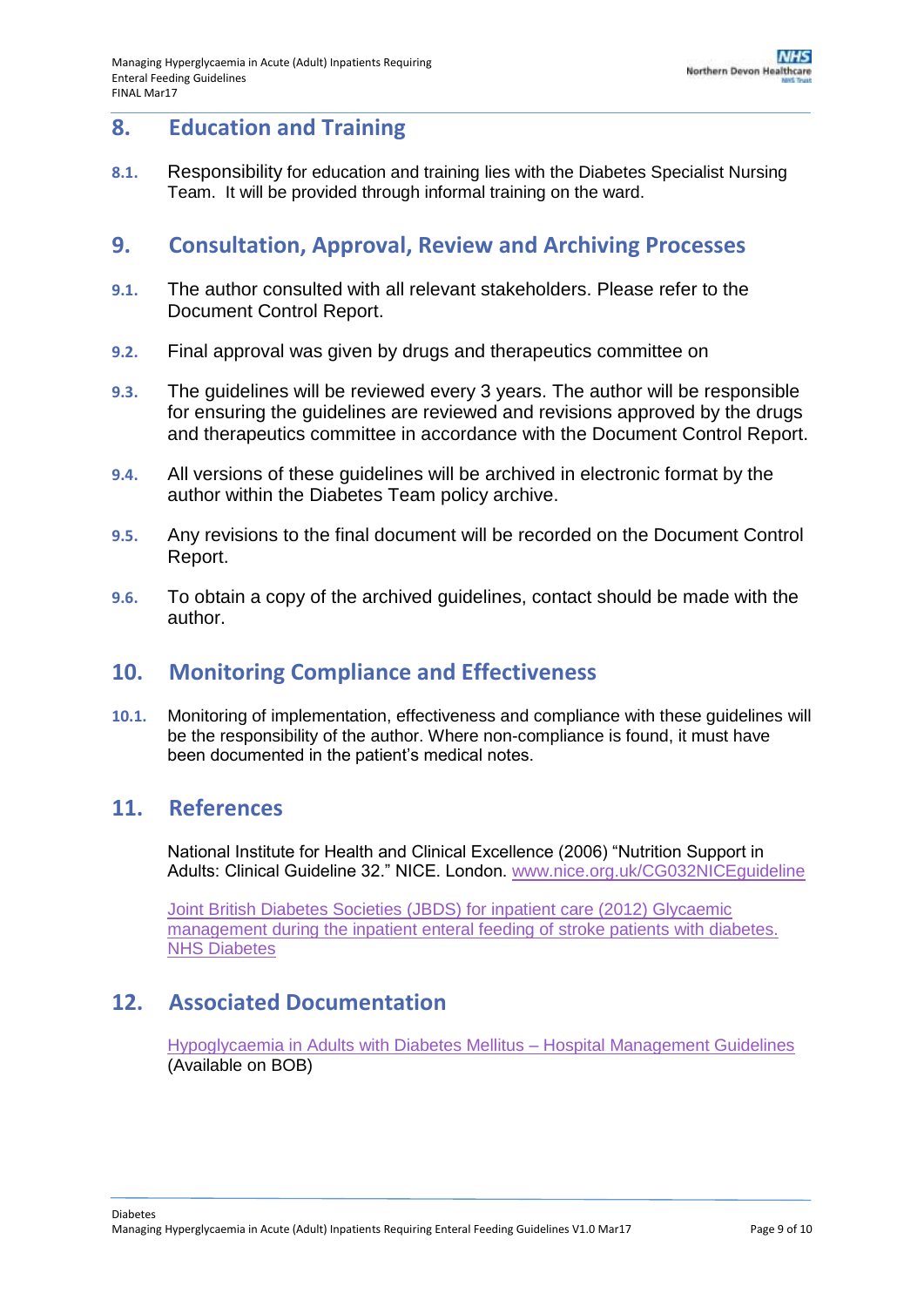### <span id="page-8-0"></span>**8. Education and Training**

**8.1.** Responsibility for education and training lies with the Diabetes Specialist Nursing Team. It will be provided through informal training on the ward.

### <span id="page-8-1"></span>**9. Consultation, Approval, Review and Archiving Processes**

- **9.1.** The author consulted with all relevant stakeholders. Please refer to the Document Control Report.
- **9.2.** Final approval was given by drugs and therapeutics committee on
- **9.3.** The guidelines will be reviewed every 3 years. The author will be responsible for ensuring the guidelines are reviewed and revisions approved by the drugs and therapeutics committee in accordance with the Document Control Report.
- **9.4.** All versions of these guidelines will be archived in electronic format by the author within the Diabetes Team policy archive.
- **9.5.** Any revisions to the final document will be recorded on the Document Control Report.
- **9.6.** To obtain a copy of the archived guidelines, contact should be made with the author.

### <span id="page-8-2"></span>**10. Monitoring Compliance and Effectiveness**

**10.1.** Monitoring of implementation, effectiveness and compliance with these guidelines will be the responsibility of the author. Where non-compliance is found, it must have been documented in the patient's medical notes.

### <span id="page-8-3"></span>**11. References**

National Institute for Health and Clinical Excellence (2006) "Nutrition Support in Adults: Clinical Guideline 32." NICE. London. [www.nice.org.uk/CG032NICEguideline](http://www.nice.org.uk/CG032NICEguideline)

Joint British Diabetes Societies (JBDS) for inpatient care (2012) Glycaemic management during the inpatient enteral feeding of stroke patients with diabetes. NHS Diabetes

## <span id="page-8-4"></span>**12. Associated Documentation**

[Hypoglycaemia in Adults with Diabetes Mellitus –](http://ndht.ndevon.swest.nhs.uk/policies/?p=3630) Hospital Management Guidelines (Available on BOB)